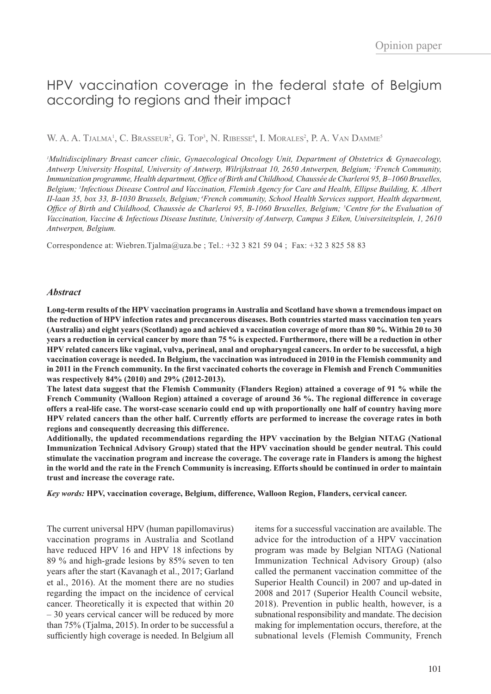## HPV vaccination coverage in the federal state of Belgium according to regions and their impact

W. A. A. Tjalma<sup>1</sup>, C. Brasseur<sup>2</sup>, G. Top<sup>3</sup>, N. Ribesse<sup>4</sup>, I. Morales<sup>2</sup>, P. A. Van Damme<sup>s</sup>

*1 Multidisciplinary Breast cancer clinic, Gynaecological Oncology Unit, Department of Obstetrics & Gynaecology, Antwerp University Hospital, University of Antwerp, Wilrijkstraat 10, 2650 Antwerpen, Belgium; 2 French Community, Immunization programme, Health department, Office of Birth and Childhood, Chaussée de Charleroi 95, B–1060 Bruxelles, Belgium; 3 Infectious Disease Control and Vaccination, Flemish Agency for Care and Health, Ellipse Building, K. Albert II-laan 35, box 33, B-1030 Brussels, Belgium; 4French community, School Health Services support, Health department,*  Office of Birth and Childhood, Chaussée de Charleroi 95, B-1060 Bruxelles, Belgium; <sup>5</sup>Centre for the Evaluation of *Vaccination, Vaccine & Infectious Disease Institute, University of Antwerp, Campus 3 Eiken, Universiteitsplein, 1, 2610 Antwerpen, Belgium.* 

Correspondence at: Wiebren.Tjalma@uza.be ; Tel.: +32 3 821 59 04 ; Fax: +32 3 825 58 83

## *Abstract*

**Long-term results of the HPV vaccination programs in Australia and Scotland have shown a tremendous impact on the reduction of HPV infection rates and precancerous diseases. Both countries started mass vaccination ten years (Australia) and eight years (Scotland) ago and achieved a vaccination coverage of more than 80 %. Within 20 to 30 years a reduction in cervical cancer by more than 75 % is expected. Furthermore, there will be a reduction in other HPV related cancers like vaginal, vulva, perineal, anal and oropharyngeal cancers. In order to be successful, a high vaccination coverage is needed. In Belgium, the vaccination was introduced in 2010 in the Flemish community and in 2011 in the French community. In the first vaccinated cohorts the coverage in Flemish and French Communities was respectively 84% (2010) and 29% (2012-2013).**

**The latest data suggest that the Flemish Community (Flanders Region) attained a coverage of 91 % while the French Community (Walloon Region) attained a coverage of around 36 %. The regional difference in coverage offers a real-life case. The worst-case scenario could end up with proportionally one half of country having more HPV related cancers than the other half. Currently efforts are performed to increase the coverage rates in both regions and consequently decreasing this difference.** 

**Additionally, the updated recommendations regarding the HPV vaccination by the Belgian NITAG (National Immunization Technical Advisory Group) stated that the HPV vaccination should be gender neutral. This could stimulate the vaccination program and increase the coverage. The coverage rate in Flanders is among the highest in the world and the rate in the French Community is increasing. Efforts should be continued in order to maintain trust and increase the coverage rate.**

*Key words:* **HPV, vaccination coverage, Belgium, difference, Walloon Region, Flanders, cervical cancer.**

The current universal HPV (human papillomavirus) vaccination programs in Australia and Scotland have reduced HPV 16 and HPV 18 infections by 89 % and high-grade lesions by 85% seven to ten years after the start (Kavanagh et al., 2017; Garland et al., 2016). At the moment there are no studies regarding the impact on the incidence of cervical cancer. Theoretically it is expected that within 20 – 30 years cervical cancer will be reduced by more than 75% (Tjalma, 2015). In order to be successful a sufficiently high coverage is needed. In Belgium all items for a successful vaccination are available. The advice for the introduction of a HPV vaccination program was made by Belgian NITAG (National Immunization Technical Advisory Group) (also called the permanent vaccination committee of the Superior Health Council) in 2007 and up-dated in 2008 and 2017 (Superior Health Council website, 2018). Prevention in public health, however, is a subnational responsibility and mandate. The decision making for implementation occurs, therefore, at the subnational levels (Flemish Community, French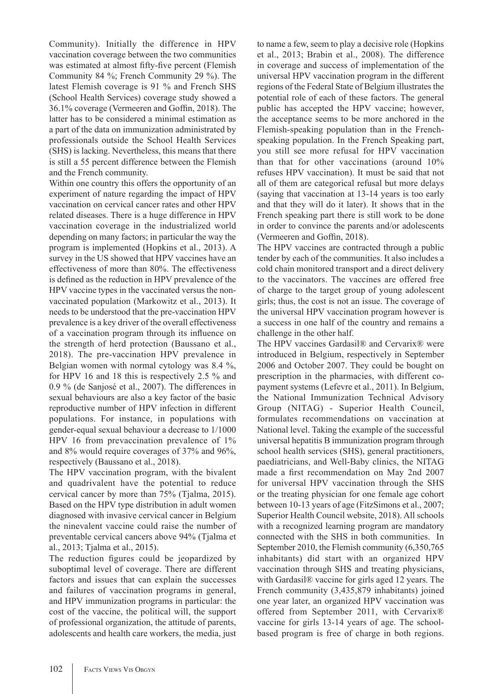Community). Initially the difference in HPV vaccination coverage between the two communities was estimated at almost fifty-five percent (Flemish Community 84 %; French Community 29 %). The latest Flemish coverage is 91 % and French SHS (School Health Services) coverage study showed a 36.1% coverage (Vermeeren and Goffin, 2018). The latter has to be considered a minimal estimation as a part of the data on immunization administrated by professionals outside the School Health Services (SHS) is lacking. Nevertheless, this means that there is still a 55 percent difference between the Flemish and the French community.

Within one country this offers the opportunity of an experiment of nature regarding the impact of HPV vaccination on cervical cancer rates and other HPV related diseases. There is a huge difference in HPV vaccination coverage in the industrialized world depending on many factors; in particular the way the program is implemented (Hopkins et al., 2013). A survey in the US showed that HPV vaccines have an effectiveness of more than 80%. The effectiveness is defined as the reduction in HPV prevalence of the HPV vaccine types in the vaccinated versus the nonvaccinated population (Markowitz et al., 2013). It needs to be understood that the pre-vaccination HPV prevalence is a key driver of the overall effectiveness of a vaccination program through its influence on the strength of herd protection (Baussano et al., 2018). The pre-vaccination HPV prevalence in Belgian women with normal cytology was 8.4 %, for HPV 16 and 18 this is respectively 2.5 % and 0.9 % (de Sanjosé et al., 2007). The differences in sexual behaviours are also a key factor of the basic reproductive number of HPV infection in different populations. For instance, in populations with gender-equal sexual behaviour a decrease to 1/1000 HPV 16 from prevaccination prevalence of 1% and 8% would require coverages of 37% and 96%, respectively (Baussano et al., 2018).

The HPV vaccination program, with the bivalent and quadrivalent have the potential to reduce cervical cancer by more than 75% (Tjalma, 2015). Based on the HPV type distribution in adult women diagnosed with invasive cervical cancer in Belgium the ninevalent vaccine could raise the number of preventable cervical cancers above 94% (Tjalma et al., 2013; Tjalma et al., 2015).

The reduction figures could be jeopardized by suboptimal level of coverage. There are different factors and issues that can explain the successes and failures of vaccination programs in general, and HPV immunization programs in particular: the cost of the vaccine, the political will, the support of professional organization, the attitude of parents, adolescents and health care workers, the media, just to name a few, seem to play a decisive role (Hopkins et al., 2013; Brabin et al., 2008). The difference in coverage and success of implementation of the universal HPV vaccination program in the different regions of the Federal State of Belgium illustrates the potential role of each of these factors. The general public has accepted the HPV vaccine; however, the acceptance seems to be more anchored in the Flemish-speaking population than in the Frenchspeaking population. In the French Speaking part, you still see more refusal for HPV vaccination than that for other vaccinations (around 10% refuses HPV vaccination). It must be said that not all of them are categorical refusal but more delays (saying that vaccination at 13-14 years is too early and that they will do it later). It shows that in the French speaking part there is still work to be done in order to convince the parents and/or adolescents (Vermeeren and Goffin, 2018).

The HPV vaccines are contracted through a public tender by each of the communities. It also includes a cold chain monitored transport and a direct delivery to the vaccinators. The vaccines are offered free of charge to the target group of young adolescent girls; thus, the cost is not an issue. The coverage of the universal HPV vaccination program however is a success in one half of the country and remains a challenge in the other half.

The HPV vaccines Gardasil<sup>®</sup> and Cervarix<sup>®</sup> were introduced in Belgium, respectively in September 2006 and October 2007. They could be bought on prescription in the pharmacies, with different copayment systems (Lefevre et al., 2011). In Belgium, the National Immunization Technical Advisory Group (NITAG) - Superior Health Council, formulates recommendations on vaccination at National level. Taking the example of the successful universal hepatitis B immunization program through school health services (SHS), general practitioners, paediatricians, and Well-Baby clinics, the NITAG made a first recommendation on May 2nd 2007 for universal HPV vaccination through the SHS or the treating physician for one female age cohort between 10-13 years of age (FitzSimons et al., 2007; Superior Health Council website, 2018). All schools with a recognized learning program are mandatory connected with the SHS in both communities. In September 2010, the Flemish community (6,350,765 inhabitants) did start with an organized HPV vaccination through SHS and treating physicians, with Gardasil® vaccine for girls aged 12 years. The French community (3,435,879 inhabitants) joined one year later, an organized HPV vaccination was offered from September 2011, with Cervarix® vaccine for girls 13-14 years of age. The schoolbased program is free of charge in both regions.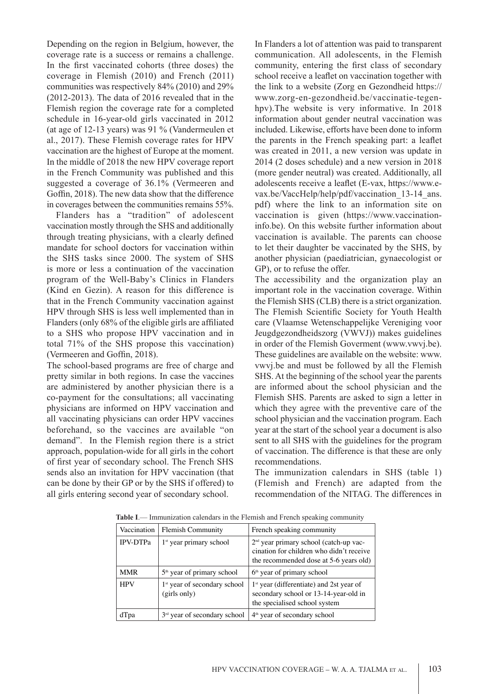Depending on the region in Belgium, however, the coverage rate is a success or remains a challenge. In the first vaccinated cohorts (three doses) the coverage in Flemish (2010) and French (2011) communities was respectively 84% (2010) and 29% (2012-2013). The data of 2016 revealed that in the Flemish region the coverage rate for a completed schedule in 16-year-old girls vaccinated in 2012 (at age of 12-13 years) was 91 % (Vandermeulen et al., 2017). These Flemish coverage rates for HPV vaccination are the highest of Europe at the moment. In the middle of 2018 the new HPV coverage report in the French Community was published and this suggested a coverage of 36.1% (Vermeeren and Goffin, 2018). The new data show that the difference in coverages between the communities remains 55%.

Flanders has a "tradition" of adolescent vaccination mostly through the SHS and additionally through treating physicians, with a clearly defined mandate for school doctors for vaccination within the SHS tasks since 2000. The system of SHS is more or less a continuation of the vaccination program of the Well-Baby's Clinics in Flanders (Kind en Gezin). A reason for this difference is that in the French Community vaccination against HPV through SHS is less well implemented than in Flanders (only 68% of the eligible girls are affiliated to a SHS who propose HPV vaccination and in total 71% of the SHS propose this vaccination) (Vermeeren and Goffin, 2018).

The school-based programs are free of charge and pretty similar in both regions. In case the vaccines are administered by another physician there is a co-payment for the consultations; all vaccinating physicians are informed on HPV vaccination and all vaccinating physicians can order HPV vaccines beforehand, so the vaccines are available "on demand". In the Flemish region there is a strict approach, population-wide for all girls in the cohort of first year of secondary school. The French SHS sends also an invitation for HPV vaccination (that can be done by their GP or by the SHS if offered) to all girls entering second year of secondary school.

In Flanders a lot of attention was paid to transparent communication. All adolescents, in the Flemish community, entering the first class of secondary school receive a leaflet on vaccination together with the link to a website (Zorg en Gezondheid https:// www.zorg-en-gezondheid.be/vaccinatie-tegenhpv).The website is very informative. In 2018 information about gender neutral vaccination was included. Likewise, efforts have been done to inform the parents in the French speaking part: a leaflet was created in 2011, a new version was update in 2014 (2 doses schedule) and a new version in 2018 (more gender neutral) was created. Additionally, all adolescents receive a leaflet (E-vax, https://www.evax.be/VaccHelp/help/pdf/vaccination\_13-14\_ans. pdf) where the link to an information site on vaccination is given (https://www.vaccinationinfo.be). On this website further information about vaccination is available. The parents can choose to let their daughter be vaccinated by the SHS, by another physician (paediatrician, gynaecologist or GP), or to refuse the offer.

The accessibility and the organization play an important role in the vaccination coverage. Within the Flemish SHS (CLB) there is a strict organization. The Flemish Scientific Society for Youth Health care (Vlaamse Wetenschappelijke Vereniging voor Jeugdgezondheidszorg (VWVJ)) makes guidelines in order of the Flemish Goverment (www.vwvj.be). These guidelines are available on the website: www. vwvj.be and must be followed by all the Flemish SHS. At the beginning of the school year the parents are informed about the school physician and the Flemish SHS. Parents are asked to sign a letter in which they agree with the preventive care of the school physician and the vaccination program. Each year at the start of the school year a document is also sent to all SHS with the guidelines for the program of vaccination. The difference is that these are only recommendations.

The immunization calendars in SHS (table 1) (Flemish and French) are adapted from the recommendation of the NITAG. The differences in

| Vaccination     | <b>Flemish Community</b>                                 | French speaking community                                                                                                                |
|-----------------|----------------------------------------------------------|------------------------------------------------------------------------------------------------------------------------------------------|
| <b>IPV-DTPa</b> | 1 <sup>st</sup> year primary school                      | 2 <sup>nd</sup> year primary school (catch-up vac-<br>cination for children who didn't receive<br>the recommended dose at 5-6 years old) |
| <b>MMR</b>      | $5th$ year of primary school                             | $6th$ year of primary school                                                                                                             |
| <b>HPV</b>      | 1 <sup>st</sup> year of secondary school<br>(girls only) | $1st$ year (differentiate) and 2st year of<br>secondary school or 13-14-year-old in<br>the specialised school system                     |
| dTpa            | $3rd$ year of secondary school                           | $4th$ year of secondary school                                                                                                           |

**Table I**.— Immunization calendars in the Flemish and French speaking community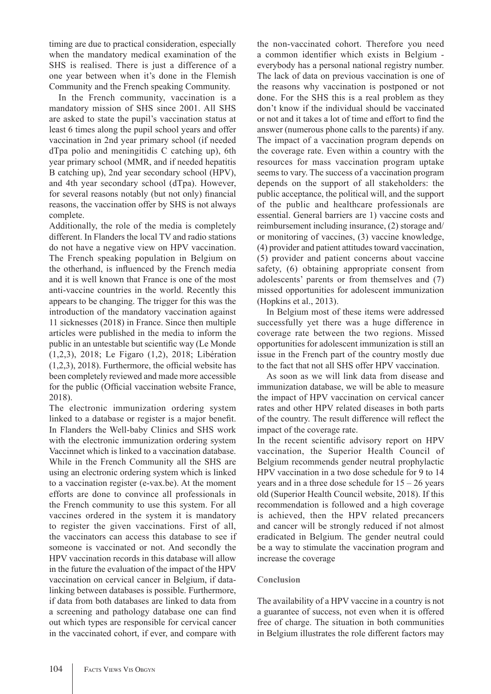timing are due to practical consideration, especially when the mandatory medical examination of the SHS is realised. There is just a difference of a one year between when it's done in the Flemish Community and the French speaking Community.

In the French community, vaccination is a mandatory mission of SHS since 2001. All SHS are asked to state the pupil's vaccination status at least 6 times along the pupil school years and offer vaccination in 2nd year primary school (if needed dTpa polio and meningitidis C catching up), 6th year primary school (MMR, and if needed hepatitis B catching up), 2nd year secondary school (HPV), and 4th year secondary school (dTpa). However, for several reasons notably (but not only) financial reasons, the vaccination offer by SHS is not always complete.

Additionally, the role of the media is completely different. In Flanders the local TV and radio stations do not have a negative view on HPV vaccination. The French speaking population in Belgium on the otherhand, is influenced by the French media and it is well known that France is one of the most anti-vaccine countries in the world. Recently this appears to be changing. The trigger for this was the introduction of the mandatory vaccination against 11 sicknesses (2018) in France. Since then multiple articles were published in the media to inform the public in an untestable but scientific way (Le Monde (1,2,3), 2018; Le Figaro (1,2), 2018; Libération (1,2,3), 2018). Furthermore, the official website has been completely reviewed and made more accessible for the public (Official vaccination website France, 2018).

The electronic immunization ordering system linked to a database or register is a major benefit. In Flanders the Well-baby Clinics and SHS work with the electronic immunization ordering system Vaccinnet which is linked to a vaccination database. While in the French Community all the SHS are using an electronic ordering system which is linked to a vaccination register (e-vax.be). At the moment efforts are done to convince all professionals in the French community to use this system. For all vaccines ordered in the system it is mandatory to register the given vaccinations. First of all, the vaccinators can access this database to see if someone is vaccinated or not. And secondly the HPV vaccination records in this database will allow in the future the evaluation of the impact of the HPV vaccination on cervical cancer in Belgium, if datalinking between databases is possible. Furthermore, if data from both databases are linked to data from a screening and pathology database one can find out which types are responsible for cervical cancer in the vaccinated cohort, if ever, and compare with

the non-vaccinated cohort. Therefore you need a common identifier which exists in Belgium everybody has a personal national registry number. The lack of data on previous vaccination is one of the reasons why vaccination is postponed or not done. For the SHS this is a real problem as they don't know if the individual should be vaccinated or not and it takes a lot of time and effort to find the answer (numerous phone calls to the parents) if any. The impact of a vaccination program depends on the coverage rate. Even within a country with the resources for mass vaccination program uptake seems to vary. The success of a vaccination program depends on the support of all stakeholders: the public acceptance, the political will, and the support of the public and healthcare professionals are essential. General barriers are 1) vaccine costs and reimbursement including insurance, (2) storage and/ or monitoring of vaccines, (3) vaccine knowledge, (4) provider and patient attitudes toward vaccination, (5) provider and patient concerns about vaccine safety, (6) obtaining appropriate consent from adolescents' parents or from themselves and (7) missed opportunities for adolescent immunization (Hopkins et al., 2013).

In Belgium most of these items were addressed successfully yet there was a huge difference in coverage rate between the two regions. Missed opportunities for adolescent immunization is still an issue in the French part of the country mostly due to the fact that not all SHS offer HPV vaccination.

As soon as we will link data from disease and immunization database, we will be able to measure the impact of HPV vaccination on cervical cancer rates and other HPV related diseases in both parts of the country. The result difference will reflect the impact of the coverage rate.

In the recent scientific advisory report on HPV vaccination, the Superior Health Council of Belgium recommends gender neutral prophylactic HPV vaccination in a two dose schedule for 9 to 14 years and in a three dose schedule for  $15 - 26$  years old (Superior Health Council website, 2018). If this recommendation is followed and a high coverage is achieved, then the HPV related precancers and cancer will be strongly reduced if not almost eradicated in Belgium. The gender neutral could be a way to stimulate the vaccination program and increase the coverage

## **Conclusion**

The availability of a HPV vaccine in a country is not a guarantee of success, not even when it is offered free of charge. The situation in both communities in Belgium illustrates the role different factors may